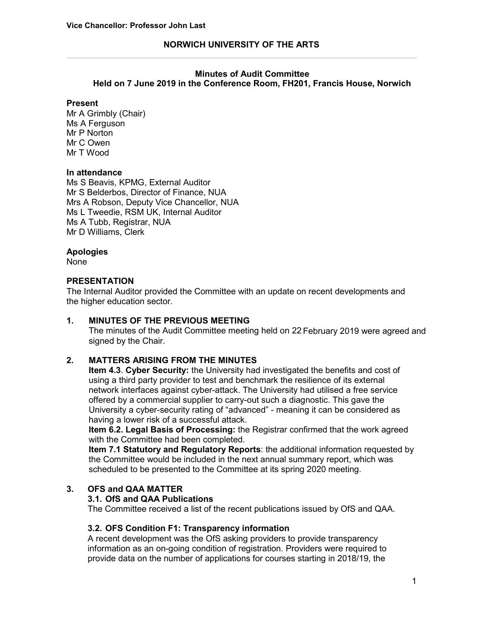# **NORWICH UNIVERSITY OF THE ARTS**

### **Minutes of Audit Committee**

**Held on 7 June 2019 in the Conference Room, FH201, Francis House, Norwich**

### **Present**

Mr A Grimbly (Chair) Ms A Ferguson Mr P Norton Mr C Owen Mr T Wood

### **In attendance**

Ms S Beavis, KPMG, External Auditor Mr S Belderbos, Director of Finance, NUA Mrs A Robson, Deputy Vice Chancellor, NUA Ms L Tweedie, RSM UK, Internal Auditor Ms A Tubb, Registrar, NUA Mr D Williams, Clerk

## **Apologies**

None

### **PRESENTATION**

The Internal Auditor provided the Committee with an update on recent developments and the higher education sector.

### **1. MINUTES OF THE PREVIOUS MEETING**

The minutes of the Audit Committee meeting held on 22 February 2019 were agreed and signed by the Chair.

# **2. MATTERS ARISING FROM THE MINUTES**

**Item 4.3**. **Cyber Security:** the University had investigated the benefits and cost of using a third party provider to test and benchmark the resilience of its external network interfaces against cyber-attack. The University had utilised a free service offered by a commercial supplier to carry-out such a diagnostic. This gave the University a cyber-security rating of "advanced" - meaning it can be considered as having a lower risk of a successful attack.

**Item 6.2. Legal Basis of Processing:** the Registrar confirmed that the work agreed with the Committee had been completed.

**Item 7.1 Statutory and Regulatory Reports**: the additional information requested by the Committee would be included in the next annual summary report, which was scheduled to be presented to the Committee at its spring 2020 meeting.

### **3. OFS and QAA MATTER**

## **3.1. OfS and QAA Publications**

The Committee received a list of the recent publications issued by OfS and QAA.

### **3.2. OFS Condition F1: Transparency information**

A recent development was the OfS asking providers to provide transparency information as an on-going condition of registration. Providers were required to provide data on the number of applications for courses starting in 2018/19, the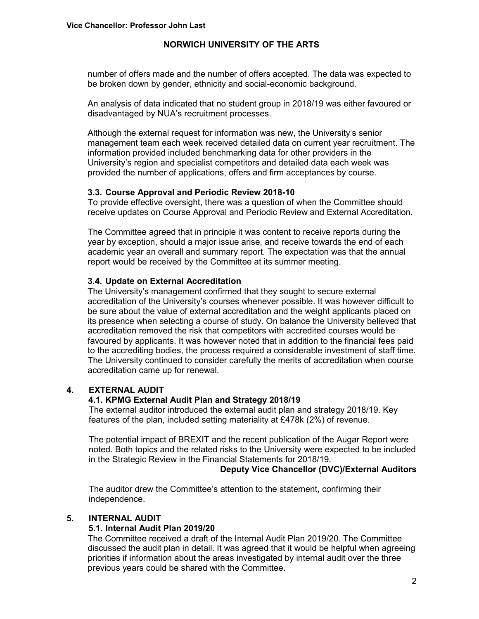number of offers made and the number of offers accepted. The data was expected to be broken down by gender, ethnicity and social-economic background.

An analysis of data indicated that no student group in 2018/19 was either favoured or disadvantaged by NUA's recruitment processes.

Although the external request for information was new, the University's senior management team each week received detailed data on current year recruitment. The information provided included benchmarking data for other providers in the University's region and specialist competitors and detailed data each week was provided the number of applications, offers and firm acceptances by course.

## **3.3. Course Approval and Periodic Review 2018-10**

To provide effective oversight, there was a question of when the Committee should receive updates on Course Approval and Periodic Review and External Accreditation.

The Committee agreed that in principle it was content to receive reports during the year by exception, should a major issue arise, and receive towards the end of each academic year an overall and summary report. The expectation was that the annual report would be received by the Committee at its summer meeting.

### **3.4. Update on External Accreditation**

The University's management confirmed that they sought to secure external accreditation of the University's courses whenever possible. It was however difficult to be sure about the value of external accreditation and the weight applicants placed on its presence when selecting a course of study. On balance the University believed that accreditation removed the risk that competitors with accredited courses would be favoured by applicants. It was however noted that in addition to the financial fees paid to the accrediting bodies, the process required a considerable investment of staff time. The University continued to consider carefully the merits of accreditation when course accreditation came up for renewal.

# **4. EXTERNAL AUDIT**

### **4.1. KPMG External Audit Plan and Strategy 2018/19**

The external auditor introduced the external audit plan and strategy 2018/19. Key features of the plan, included setting materiality at £478k (2%) of revenue.

The potential impact of BREXIT and the recent publication of the Augar Report were noted. Both topics and the related risks to the University were expected to be included in the Strategic Review in the Financial Statements for 2018/19.

### **Deputy Vice Chancellor (DVC)/External Auditors**

The auditor drew the Committee's attention to the statement, confirming their independence.

### **5. INTERNAL AUDIT**

### **5.1. Internal Audit Plan 2019/20**

The Committee received a draft of the Internal Audit Plan 2019/20. The Committee discussed the audit plan in detail. It was agreed that it would be helpful when agreeing priorities if information about the areas investigated by internal audit over the three previous years could be shared with the Committee.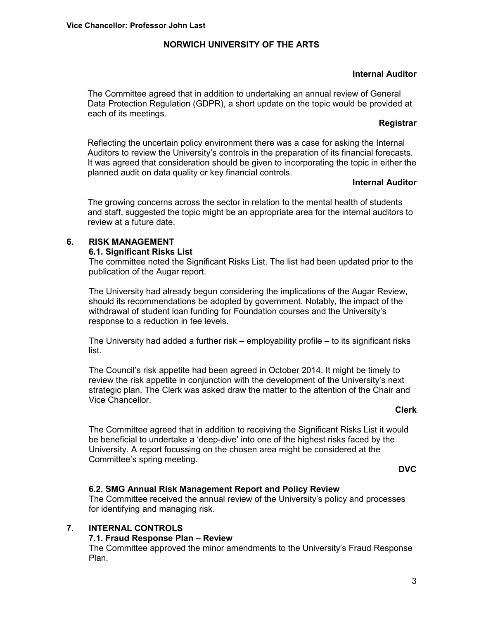# **NORWICH UNIVERSITY OF THE ARTS**

# **Internal Auditor**

The Committee agreed that in addition to undertaking an annual review of General Data Protection Regulation (GDPR), a short update on the topic would be provided at each of its meetings.

## **Registrar**

Reflecting the uncertain policy environment there was a case for asking the Internal Auditors to review the University's controls in the preparation of its financial forecasts. It was agreed that consideration should be given to incorporating the topic in either the planned audit on data quality or key financial controls.

## **Internal Auditor**

The growing concerns across the sector in relation to the mental health of students and staff, suggested the topic might be an appropriate area for the internal auditors to review at a future date.

# **6. RISK MANAGEMENT**

## **6.1. Significant Risks List**

The committee noted the Significant Risks List. The list had been updated prior to the publication of the Augar report.

The University had already begun considering the implications of the Augar Review, should its recommendations be adopted by government. Notably, the impact of the withdrawal of student loan funding for Foundation courses and the University's response to a reduction in fee levels.

The University had added a further risk – employability profile – to its significant risks list.

The Council's risk appetite had been agreed in October 2014. It might be timely to review the risk appetite in conjunction with the development of the University's next strategic plan. The Clerk was asked draw the matter to the attention of the Chair and Vice Chancellor.

### **Clerk**

The Committee agreed that in addition to receiving the Significant Risks List it would be beneficial to undertake a 'deep-dive' into one of the highest risks faced by the University. A report focussing on the chosen area might be considered at the Committee's spring meeting.

### **DVC**

# **6.2. SMG Annual Risk Management Report and Policy Review**

The Committee received the annual review of the University's policy and processes for identifying and managing risk.

# **7. INTERNAL CONTROLS**

# **7.1. Fraud Response Plan – Review**

The Committee approved the minor amendments to the University's Fraud Response Plan.